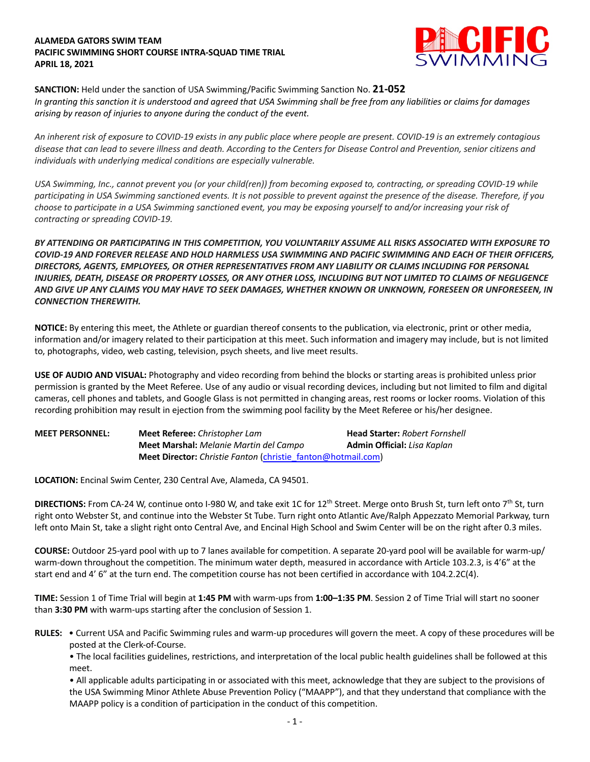## **ALAMEDA GATORS SWIM TEAM PACIFIC SWIMMING SHORT COURSE INTRA-SQUAD TIME TRIAL APRIL 18, 2021**



**SANCTION:** Held under the sanction of USA Swimming/Pacific Swimming Sanction No. **21-052** *In granting this sanction it is understood and agreed that USA Swimming shall be free from any liabilities or claims for damages arising by reason of injuries to anyone during the conduct of the event.*

*An inherent risk of exposure to COVID-19 exists in any public place where people are present. COVID-19 is an extremely contagious disease that can lead to severe illness and death. According to the Centers for Disease Control and Prevention, senior citizens and individuals with underlying medical conditions are especially vulnerable.*

*USA Swimming, Inc., cannot prevent you (or your child(ren)) from becoming exposed to, contracting, or spreading COVID-19 while participating in USA Swimming sanctioned events. It is not possible to prevent against the presence of the disease. Therefore, if you choose to participate in a USA Swimming sanctioned event, you may be exposing yourself to and/or increasing your risk of contracting or spreading COVID-19.*

*BY ATTENDING OR PARTICIPATING IN THIS COMPETITION, YOU VOLUNTARILY ASSUME ALL RISKS ASSOCIATED WITH EXPOSURE TO COVID-19 AND FOREVER RELEASE AND HOLD HARMLESS USA SWIMMING AND PACIFIC SWIMMING AND EACH OF THEIR OFFICERS, DIRECTORS, AGENTS, EMPLOYEES, OR OTHER REPRESENTATIVES FROM ANY LIABILITY OR CLAIMS INCLUDING FOR PERSONAL INJURIES, DEATH, DISEASE OR PROPERTY LOSSES, OR ANY OTHER LOSS, INCLUDING BUT NOT LIMITED TO CLAIMS OF NEGLIGENCE AND GIVE UP ANY CLAIMS YOU MAY HAVE TO SEEK DAMAGES, WHETHER KNOWN OR UNKNOWN, FORESEEN OR UNFORESEEN, IN CONNECTION THEREWITH.*

**NOTICE:** By entering this meet, the Athlete or guardian thereof consents to the publication, via electronic, print or other media, information and/or imagery related to their participation at this meet. Such information and imagery may include, but is not limited to, photographs, video, web casting, television, psych sheets, and live meet results.

**USE OF AUDIO AND VISUAL:** Photography and video recording from behind the blocks or starting areas is prohibited unless prior permission is granted by the Meet Referee. Use of any audio or visual recording devices, including but not limited to film and digital cameras, cell phones and tablets, and Google Glass is not permitted in changing areas, rest rooms or locker rooms. Violation of this recording prohibition may result in ejection from the swimming pool facility by the Meet Referee or his/her designee.

**MEET PERSONNEL: Meet Referee:** *Christopher Lam* **Head Starter:** *Robert Fornshell* **Meet Marshal:** *Melanie Martin del Campo* **Admin Official:** *Lisa Kaplan* **Meet Director:** *Christie Fanton* (christie\_fanton@hotmail.com)

**LOCATION:** Encinal Swim Center, 230 Central Ave, Alameda, CA 94501.

**DIRECTIONS:** From CA-24 W, continue onto I-980 W, and take exit 1C for 12<sup>th</sup> Street. Merge onto Brush St, turn left onto 7<sup>th</sup> St, turn right onto Webster St, and continue into the Webster St Tube. Turn right onto Atlantic Ave/Ralph Appezzato Memorial Parkway, turn left onto Main St, take a slight right onto Central Ave, and Encinal High School and Swim Center will be on the right after 0.3 miles.

**COURSE:** Outdoor 25-yard pool with up to 7 lanes available for competition. A separate 20-yard pool will be available for warm-up/ warm-down throughout the competition. The minimum water depth, measured in accordance with Article 103.2.3, is 4'6" at the start end and 4' 6" at the turn end. The competition course has not been certified in accordance with 104.2.2C(4).

**TIME:** Session 1 of Time Trial will begin at **1:45 PM** with warm-ups from **1:00–1:35 PM**. Session 2 of Time Trial will start no sooner than **3:30 PM** with warm-ups starting after the conclusion of Session 1.

**RULES:** • Current USA and Pacific Swimming rules and warm-up procedures will govern the meet. A copy of these procedures will be posted at the Clerk-of-Course.

• The local facilities guidelines, restrictions, and interpretation of the local public health guidelines shall be followed at this meet.

• All applicable adults participating in or associated with this meet, acknowledge that they are subject to the provisions of the USA Swimming Minor Athlete Abuse Prevention Policy ("MAAPP"), and that they understand that compliance with the MAAPP policy is a condition of participation in the conduct of this competition.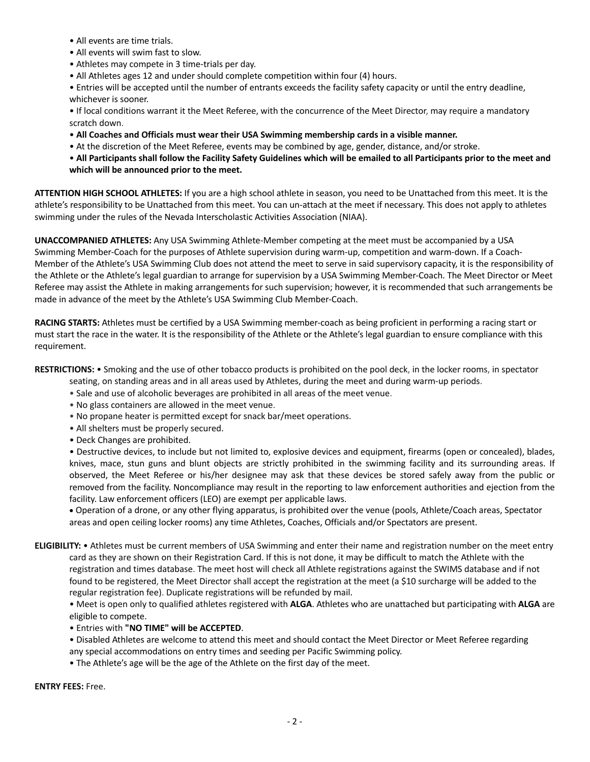- All events are time trials.
- All events will swim fast to slow.
- Athletes may compete in 3 time-trials per day.
- All Athletes ages 12 and under should complete competition within four (4) hours.

• Entries will be accepted until the number of entrants exceeds the facility safety capacity or until the entry deadline, whichever is sooner.

• If local conditions warrant it the Meet Referee, with the concurrence of the Meet Director, may require a mandatory scratch down.

- **All Coaches and Officials must wear their USA Swimming membership cards in a visible manner.**
- At the discretion of the Meet Referee, events may be combined by age, gender, distance, and/or stroke.
- **All Participants shall follow the Facility Safety Guidelines which will be emailed to all Participants prior to the meet and which will be announced prior to the meet.**

**ATTENTION HIGH SCHOOL ATHLETES:** If you are a high school athlete in season, you need to be Unattached from this meet. It is the athlete's responsibility to be Unattached from this meet. You can un-attach at the meet if necessary. This does not apply to athletes swimming under the rules of the Nevada Interscholastic Activities Association (NIAA).

**UNACCOMPANIED ATHLETES:** Any USA Swimming Athlete-Member competing at the meet must be accompanied by a USA Swimming Member-Coach for the purposes of Athlete supervision during warm-up, competition and warm-down. If a Coach-Member of the Athlete's USA Swimming Club does not attend the meet to serve in said supervisory capacity, it is the responsibility of the Athlete or the Athlete's legal guardian to arrange for supervision by a USA Swimming Member-Coach. The Meet Director or Meet Referee may assist the Athlete in making arrangements for such supervision; however, it is recommended that such arrangements be made in advance of the meet by the Athlete's USA Swimming Club Member-Coach.

**RACING STARTS:** Athletes must be certified by a USA Swimming member-coach as being proficient in performing a racing start or must start the race in the water. It is the responsibility of the Athlete or the Athlete's legal guardian to ensure compliance with this requirement.

**RESTRICTIONS:** • Smoking and the use of other tobacco products is prohibited on the pool deck, in the locker rooms, in spectator

- seating, on standing areas and in all areas used by Athletes, during the meet and during warm-up periods.
- Sale and use of alcoholic beverages are prohibited in all areas of the meet venue.
- No glass containers are allowed in the meet venue.
- No propane heater is permitted except for snack bar/meet operations.
- All shelters must be properly secured.
- Deck Changes are prohibited.

• Destructive devices, to include but not limited to, explosive devices and equipment, firearms (open or concealed), blades, knives, mace, stun guns and blunt objects are strictly prohibited in the swimming facility and its surrounding areas. If observed, the Meet Referee or his/her designee may ask that these devices be stored safely away from the public or removed from the facility. Noncompliance may result in the reporting to law enforcement authorities and ejection from the facility. Law enforcement officers (LEO) are exempt per applicable laws.

• Operation of a drone, or any other flying apparatus, is prohibited over the venue (pools, Athlete/Coach areas, Spectator areas and open ceiling locker rooms) any time Athletes, Coaches, Officials and/or Spectators are present.

**ELIGIBILITY:** • Athletes must be current members of USA Swimming and enter their name and registration number on the meet entry card as they are shown on their Registration Card. If this is not done, it may be difficult to match the Athlete with the registration and times database. The meet host will check all Athlete registrations against the SWIMS database and if not found to be registered, the Meet Director shall accept the registration at the meet (a \$10 surcharge will be added to the regular registration fee). Duplicate registrations will be refunded by mail.

• Meet is open only to qualified athletes registered with **ALGA**. Athletes who are unattached but participating with **ALGA** are eligible to compete.

• Entries with **"NO TIME" will be ACCEPTED**.

- Disabled Athletes are welcome to attend this meet and should contact the Meet Director or Meet Referee regarding any special accommodations on entry times and seeding per Pacific Swimming policy.
- The Athlete's age will be the age of the Athlete on the first day of the meet.

**ENTRY FEES:** Free.